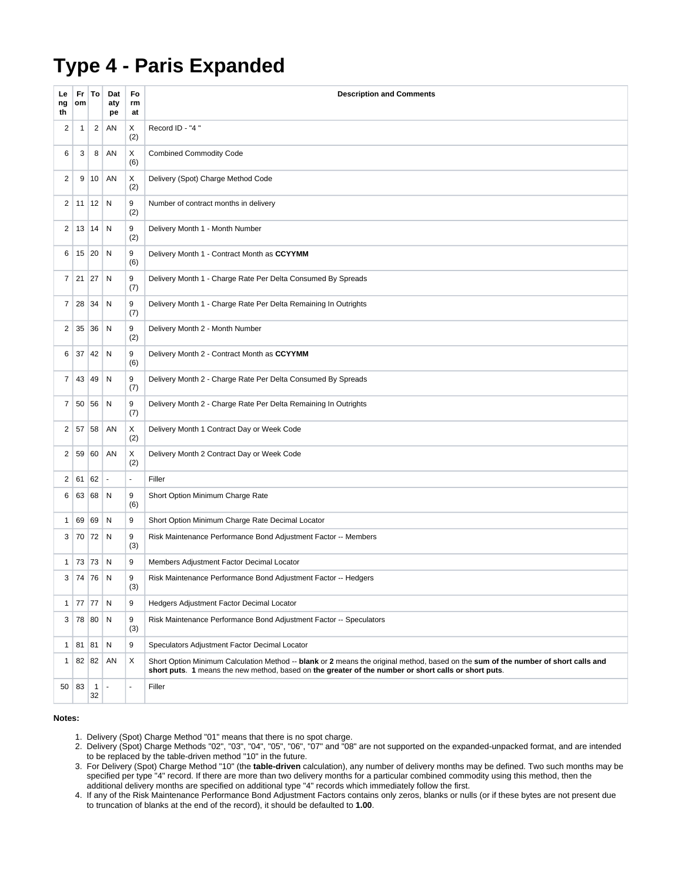## **Type 4 - Paris Expanded**

| Le<br>ng<br>th | Fr<br>om     | To                 | Dat<br>aty<br>pe         | Fo<br>rm<br>at | <b>Description and Comments</b>                                                                                                                                                                                                            |
|----------------|--------------|--------------------|--------------------------|----------------|--------------------------------------------------------------------------------------------------------------------------------------------------------------------------------------------------------------------------------------------|
| 2              | 1            | 2                  | AN                       | Χ<br>(2)       | Record ID - "4"                                                                                                                                                                                                                            |
| 6              | 3            | 8                  | AN                       | Χ<br>(6)       | <b>Combined Commodity Code</b>                                                                                                                                                                                                             |
| 2              | 9            | 10                 | AN                       | X<br>(2)       | Delivery (Spot) Charge Method Code                                                                                                                                                                                                         |
| 2              |              | $11$   12          | N                        | 9<br>(2)       | Number of contract months in delivery                                                                                                                                                                                                      |
| 2              | 13           | 14                 | N                        | 9<br>(2)       | Delivery Month 1 - Month Number                                                                                                                                                                                                            |
| 6              | 15 20        |                    | N                        | 9<br>(6)       | Delivery Month 1 - Contract Month as CCYYMM                                                                                                                                                                                                |
| 7              | $21 \,   27$ |                    | N                        | 9<br>(7)       | Delivery Month 1 - Charge Rate Per Delta Consumed By Spreads                                                                                                                                                                               |
| 7              | 28 34        |                    | N                        | 9<br>(7)       | Delivery Month 1 - Charge Rate Per Delta Remaining In Outrights                                                                                                                                                                            |
| 2              | 35 36        |                    | N                        | 9<br>(2)       | Delivery Month 2 - Month Number                                                                                                                                                                                                            |
| 6              | 37           | 42                 | N                        | 9<br>(6)       | Delivery Month 2 - Contract Month as CCYYMM                                                                                                                                                                                                |
| 7              | 43           | 49                 | N                        | 9<br>(7)       | Delivery Month 2 - Charge Rate Per Delta Consumed By Spreads                                                                                                                                                                               |
| 7              |              | 50 56              | N                        | 9<br>(7)       | Delivery Month 2 - Charge Rate Per Delta Remaining In Outrights                                                                                                                                                                            |
| 2              | 57           | 58                 | AN                       | Χ<br>(2)       | Delivery Month 1 Contract Day or Week Code                                                                                                                                                                                                 |
| 2              | 59           | 60                 | AN                       | Χ<br>(2)       | Delivery Month 2 Contract Day or Week Code                                                                                                                                                                                                 |
| 2              | 61           | 62                 | $\overline{\phantom{a}}$ | $\sim$         | Filler                                                                                                                                                                                                                                     |
| 6              | 63           | 68                 | N                        | 9<br>(6)       | Short Option Minimum Charge Rate                                                                                                                                                                                                           |
| 1              | 69           | 69                 | N                        | 9              | Short Option Minimum Charge Rate Decimal Locator                                                                                                                                                                                           |
| 3              | 70           | 72                 | N                        | 9<br>(3)       | Risk Maintenance Performance Bond Adjustment Factor -- Members                                                                                                                                                                             |
| 1              | 73           | 73                 | N                        | 9              | Members Adjustment Factor Decimal Locator                                                                                                                                                                                                  |
| 3              | 74 76        |                    | N                        | 9<br>$(3)$     | Risk Maintenance Performance Bond Adjustment Factor -- Hedgers                                                                                                                                                                             |
| 1              | 77           | 77                 | N                        | 9              | Hedgers Adjustment Factor Decimal Locator                                                                                                                                                                                                  |
| 3              |              | 78 80              | N                        | 9<br>(3)       | Risk Maintenance Performance Bond Adjustment Factor -- Speculators                                                                                                                                                                         |
| 1              | 81           | 81                 | N                        | 9              | Speculators Adjustment Factor Decimal Locator                                                                                                                                                                                              |
| 1              | 82 82        |                    | AN                       | Χ              | Short Option Minimum Calculation Method -- blank or 2 means the original method, based on the sum of the number of short calls and<br>short puts. 1 means the new method, based on the greater of the number or short calls or short puts. |
|                | $50$ 83      | $\mathbf{1}$<br>32 |                          | $\blacksquare$ | Filler                                                                                                                                                                                                                                     |

## **Notes:**

- 1. Delivery (Spot) Charge Method "01" means that there is no spot charge.
- 2. Delivery (Spot) Charge Methods "02", "03", "04", "05", "06", "07" and "08" are not supported on the expanded-unpacked format, and are intended to be replaced by the table-driven method "10" in the future.
- 3. For Delivery (Spot) Charge Method "10" (the **table-driven** calculation), any number of delivery months may be defined. Two such months may be specified per type "4" record. If there are more than two delivery months for a particular combined commodity using this method, then the additional delivery months are specified on additional type "4" records which immediately follow the first.
- 4. If any of the Risk Maintenance Performance Bond Adjustment Factors contains only zeros, blanks or nulls (or if these bytes are not present due to truncation of blanks at the end of the record), it should be defaulted to **1.00**.